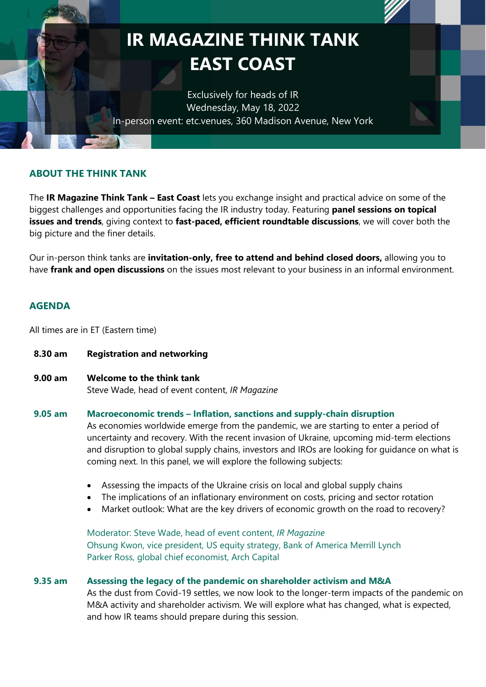

## **ABOUT THE THINK TANK**

The **IR Magazine Think Tank – East Coast** lets you exchange insight and practical advice on some of the biggest challenges and opportunities facing the IR industry today. Featuring **panel sessions on topical issues and trends**, giving context to **fast-paced, efficient roundtable discussions**, we will cover both the big picture and the finer details.

Our in-person think tanks are **invitation-only, free to attend and behind closed doors,** allowing you to have **frank and open discussions** on the issues most relevant to your business in an informal environment.

## **AGENDA**

All times are in ET (Eastern time)

- **8.30 am Registration and networking**
- **9.00 am Welcome to the think tank** Steve Wade, head of event content, *IR Magazine*

#### **9.05 am Macroeconomic trends – Inflation, sanctions and supply-chain disruption**

As economies worldwide emerge from the pandemic, we are starting to enter a period of uncertainty and recovery. With the recent invasion of Ukraine, upcoming mid-term elections and disruption to global supply chains, investors and IROs are looking for guidance on what is coming next. In this panel, we will explore the following subjects:

- Assessing the impacts of the Ukraine crisis on local and global supply chains
- The implications of an inflationary environment on costs, pricing and sector rotation
- Market outlook: What are the key drivers of economic growth on the road to recovery?

Moderator: Steve Wade, head of event content, *IR Magazine* Ohsung Kwon, vice president, US equity strategy, Bank of America Merrill Lynch Parker Ross, global chief economist, Arch Capital

## **9.35 am Assessing the legacy of the pandemic on shareholder activism and M&A**

As the dust from Covid-19 settles, we now look to the longer-term impacts of the pandemic on M&A activity and shareholder activism. We will explore what has changed, what is expected, and how IR teams should prepare during this session.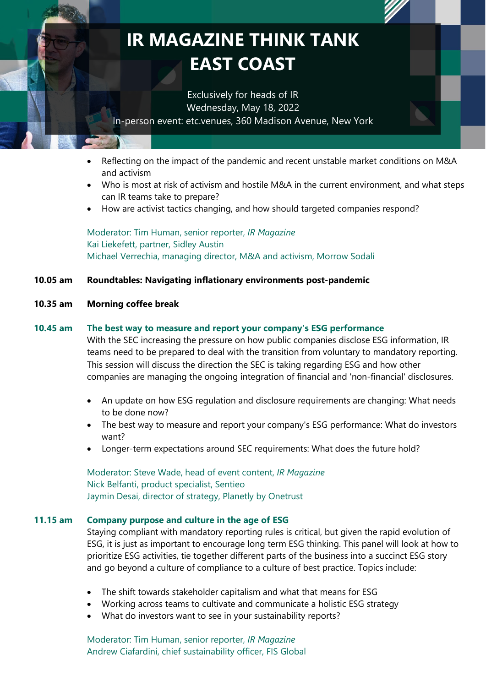# **IR MAGAZINE THINK TANK EAST COAST**

Exclusively for heads of IR Wednesday, May 18, 2022 In-person event: etc.venues, 360 Madison Avenue, New York

- Reflecting on the impact of the pandemic and recent unstable market conditions on M&A and activism
- Who is most at risk of activism and hostile M&A in the current environment, and what steps can IR teams take to prepare?
- How are activist tactics changing, and how should targeted companies respond?

Moderator: Tim Human, senior reporter, *IR Magazine* Kai Liekefett, partner, Sidley Austin Michael Verrechia, managing director, M&A and activism, Morrow Sodali

## **10.05 am Roundtables: Navigating inflationary environments post-pandemic**

#### **10.35 am Morning coffee break**

#### **10.45 am The best way to measure and report your company's ESG performance**

With the SEC increasing the pressure on how public companies disclose ESG information, IR teams need to be prepared to deal with the transition from voluntary to mandatory reporting. This session will discuss the direction the SEC is taking regarding ESG and how other companies are managing the ongoing integration of financial and 'non-financial' disclosures.

- An update on how ESG regulation and disclosure requirements are changing: What needs to be done now?
- The best way to measure and report your company's ESG performance: What do investors want?
- Longer-term expectations around SEC requirements: What does the future hold?

Moderator: Steve Wade, head of event content, *IR Magazine* Nick Belfanti, product specialist, Sentieo Jaymin Desai, director of strategy, Planetly by Onetrust

#### **11.15 am Company purpose and culture in the age of ESG**

Staying compliant with mandatory reporting rules is critical, but given the rapid evolution of ESG, it is just as important to encourage long term ESG thinking. This panel will look at how to prioritize ESG activities, tie together different parts of the business into a succinct ESG story and go beyond a culture of compliance to a culture of best practice. Topics include:

- The shift towards stakeholder capitalism and what that means for ESG
- Working across teams to cultivate and communicate a holistic ESG strategy
- What do investors want to see in your sustainability reports?

Moderator: Tim Human, senior reporter, *IR Magazine* Andrew Ciafardini, chief sustainability officer, FIS Global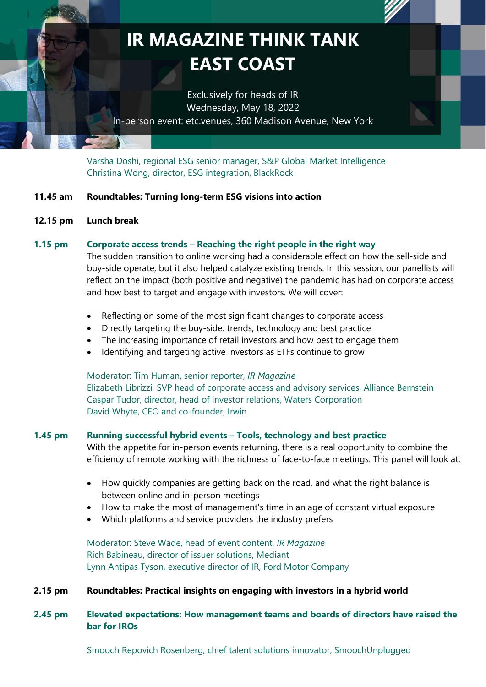## **IR MAGAZINE THINK TANK EAST COAST**

Exclusively for heads of IR Wednesday, May 18, 2022 In-person event: etc.venues, 360 Madison Avenue, New York

Varsha Doshi, regional ESG senior manager, S&P Global Market Intelligence Christina Wong, director, ESG integration, BlackRock

## **11.45 am Roundtables: Turning long-term ESG visions into action**

#### **12.15 pm Lunch break**

#### **1.15 pm Corporate access trends – Reaching the right people in the right way**

The sudden transition to online working had a considerable effect on how the sell-side and buy-side operate, but it also helped catalyze existing trends. In this session, our panellists will reflect on the impact (both positive and negative) the pandemic has had on corporate access and how best to target and engage with investors. We will cover:

- Reflecting on some of the most significant changes to corporate access
- Directly targeting the buy-side: trends, technology and best practice
- The increasing importance of retail investors and how best to engage them
- Identifying and targeting active investors as ETFs continue to grow

Moderator: Tim Human, senior reporter, *IR Magazine* Elizabeth Librizzi, SVP head of corporate access and advisory services, Alliance Bernstein Caspar Tudor, director, head of investor relations, Waters Corporation David Whyte, CEO and co-founder, Irwin

#### **1.45 pm Running successful hybrid events – Tools, technology and best practice**

With the appetite for in-person events returning, there is a real opportunity to combine the efficiency of remote working with the richness of face-to-face meetings. This panel will look at:

- How quickly companies are getting back on the road, and what the right balance is between online and in-person meetings
- How to make the most of management's time in an age of constant virtual exposure
- Which platforms and service providers the industry prefers

Moderator: Steve Wade, head of event content, *IR Magazine* Rich Babineau, director of issuer solutions, Mediant Lynn Antipas Tyson, executive director of IR, Ford Motor Company

#### **2.15 pm Roundtables: Practical insights on engaging with investors in a hybrid world**

## **2.45 pm Elevated expectations: How management teams and boards of directors have raised the bar for IROs**

Smooch Repovich Rosenberg, chief talent solutions innovator, SmoochUnplugged